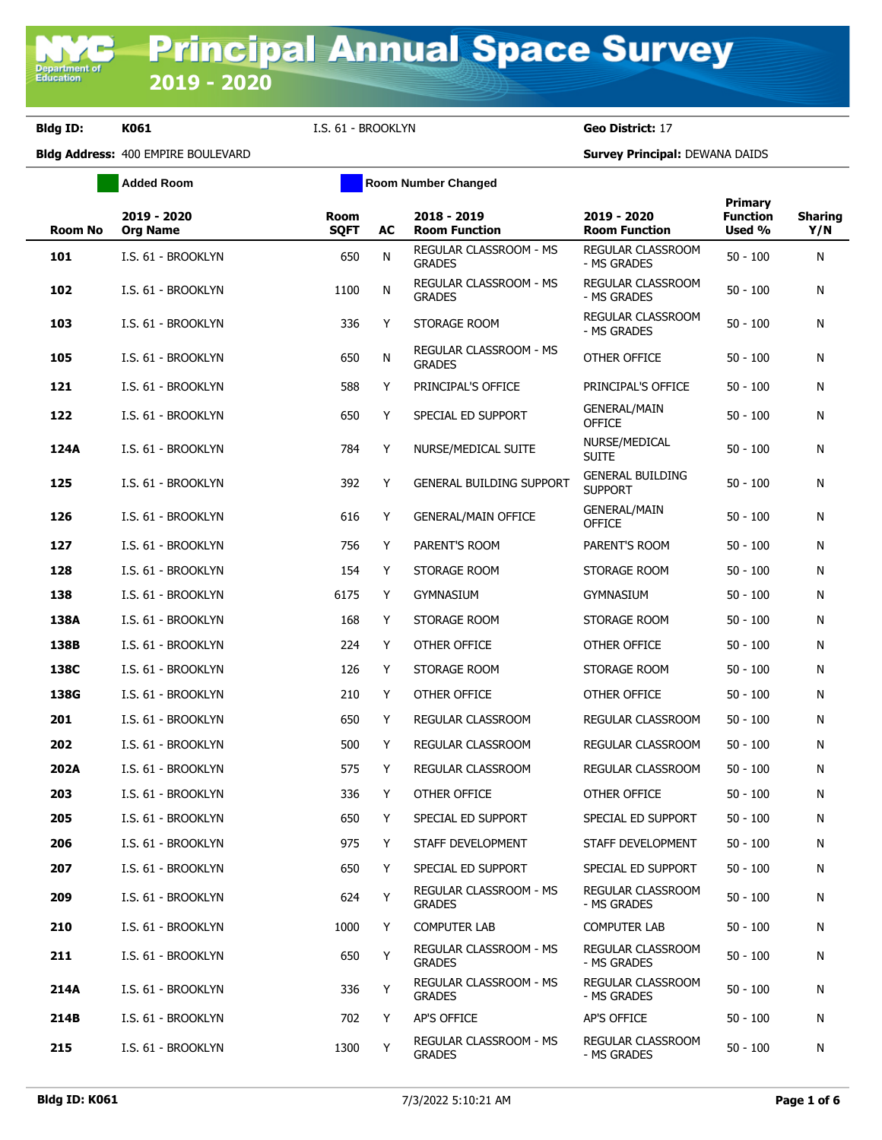**Department of**<br>Education

**Added Room Room Room Number Changed** 

|                |                                |                            |    |                                         |                                           | <b>Primary</b>            |                       |
|----------------|--------------------------------|----------------------------|----|-----------------------------------------|-------------------------------------------|---------------------------|-----------------------|
| <b>Room No</b> | 2019 - 2020<br><b>Org Name</b> | <b>Room</b><br><b>SQFT</b> | AC | 2018 - 2019<br><b>Room Function</b>     | 2019 - 2020<br><b>Room Function</b>       | <b>Function</b><br>Used % | <b>Sharing</b><br>Y/N |
| 101            | I.S. 61 - BROOKLYN             | 650                        | N  | REGULAR CLASSROOM - MS<br><b>GRADES</b> | REGULAR CLASSROOM<br>- MS GRADES          | $50 - 100$                | N                     |
| 102            | I.S. 61 - BROOKLYN             | 1100                       | N  | REGULAR CLASSROOM - MS<br><b>GRADES</b> | REGULAR CLASSROOM<br>- MS GRADES          | $50 - 100$                | N                     |
| 103            | I.S. 61 - BROOKLYN             | 336                        | Y  | STORAGE ROOM                            | REGULAR CLASSROOM<br>- MS GRADES          | $50 - 100$                | N                     |
| 105            | I.S. 61 - BROOKLYN             | 650                        | N  | REGULAR CLASSROOM - MS<br><b>GRADES</b> | OTHER OFFICE                              | $50 - 100$                | N                     |
| 121            | I.S. 61 - BROOKLYN             | 588                        | Y  | PRINCIPAL'S OFFICE                      | PRINCIPAL'S OFFICE                        | $50 - 100$                | N                     |
| 122            | I.S. 61 - BROOKLYN             | 650                        | Y  | SPECIAL ED SUPPORT                      | GENERAL/MAIN<br><b>OFFICE</b>             | $50 - 100$                | N                     |
| 124A           | I.S. 61 - BROOKLYN             | 784                        | Y  | NURSE/MEDICAL SUITE                     | NURSE/MEDICAL<br><b>SUITE</b>             | $50 - 100$                | N                     |
| 125            | I.S. 61 - BROOKLYN             | 392                        | Y  | <b>GENERAL BUILDING SUPPORT</b>         | <b>GENERAL BUILDING</b><br><b>SUPPORT</b> | $50 - 100$                | N                     |
| 126            | I.S. 61 - BROOKLYN             | 616                        | Y  | <b>GENERAL/MAIN OFFICE</b>              | <b>GENERAL/MAIN</b><br><b>OFFICE</b>      | $50 - 100$                | N                     |
| 127            | I.S. 61 - BROOKLYN             | 756                        | Y  | PARENT'S ROOM                           | PARENT'S ROOM                             | $50 - 100$                | N                     |
| 128            | I.S. 61 - BROOKLYN             | 154                        | Y  | STORAGE ROOM                            | STORAGE ROOM                              | $50 - 100$                | N                     |
| 138            | I.S. 61 - BROOKLYN             | 6175                       | Y  | <b>GYMNASIUM</b>                        | <b>GYMNASIUM</b>                          | $50 - 100$                | N                     |
| 138A           | I.S. 61 - BROOKLYN             | 168                        | Y  | STORAGE ROOM                            | STORAGE ROOM                              | $50 - 100$                | N                     |
| 138B           | I.S. 61 - BROOKLYN             | 224                        | Y  | OTHER OFFICE                            | OTHER OFFICE                              | $50 - 100$                | N                     |
| 138C           | I.S. 61 - BROOKLYN             | 126                        | Y  | STORAGE ROOM                            | STORAGE ROOM                              | $50 - 100$                | N                     |
| 138G           | I.S. 61 - BROOKLYN             | 210                        | Y  | OTHER OFFICE                            | OTHER OFFICE                              | $50 - 100$                | N                     |
| 201            | I.S. 61 - BROOKLYN             | 650                        | Υ  | REGULAR CLASSROOM                       | REGULAR CLASSROOM                         | $50 - 100$                | N                     |
| 202            | I.S. 61 - BROOKLYN             | 500                        | Y  | REGULAR CLASSROOM                       | REGULAR CLASSROOM                         | $50 - 100$                | N                     |
| 202A           | I.S. 61 - BROOKLYN             | 575                        | Y  | REGULAR CLASSROOM                       | <b>REGULAR CLASSROOM</b>                  | $50 - 100$                | N                     |
| 203            | I.S. 61 - BROOKLYN             | 336                        | Y  | OTHER OFFICE                            | OTHER OFFICE                              | $50 - 100$                | N                     |
| 205            | I.S. 61 - BROOKLYN             | 650                        | Y  | SPECIAL ED SUPPORT                      | SPECIAL ED SUPPORT                        | $50 - 100$                | N                     |
| 206            | I.S. 61 - BROOKLYN             | 975                        | Y  | STAFF DEVELOPMENT                       | STAFF DEVELOPMENT                         | $50 - 100$                | N                     |
| 207            | I.S. 61 - BROOKLYN             | 650                        | Y  | SPECIAL ED SUPPORT                      | SPECIAL ED SUPPORT                        | $50 - 100$                | N                     |
| 209            | I.S. 61 - BROOKLYN             | 624                        | Y  | REGULAR CLASSROOM - MS<br><b>GRADES</b> | REGULAR CLASSROOM<br>- MS GRADES          | $50 - 100$                | N                     |
| 210            | I.S. 61 - BROOKLYN             | 1000                       | Y  | <b>COMPUTER LAB</b>                     | <b>COMPUTER LAB</b>                       | $50 - 100$                | N                     |
| 211            | I.S. 61 - BROOKLYN             | 650                        | Υ  | REGULAR CLASSROOM - MS<br><b>GRADES</b> | REGULAR CLASSROOM<br>- MS GRADES          | $50 - 100$                | N                     |
| 214A           | I.S. 61 - BROOKLYN             | 336                        | Y  | REGULAR CLASSROOM - MS<br><b>GRADES</b> | REGULAR CLASSROOM<br>- MS GRADES          | $50 - 100$                | N                     |
| 214B           | I.S. 61 - BROOKLYN             | 702                        | Y  | AP'S OFFICE                             | AP'S OFFICE                               | $50 - 100$                | N                     |
| 215            | I.S. 61 - BROOKLYN             | 1300                       | Υ  | REGULAR CLASSROOM - MS<br><b>GRADES</b> | REGULAR CLASSROOM<br>- MS GRADES          | $50 - 100$                | N                     |
|                |                                |                            |    |                                         |                                           |                           |                       |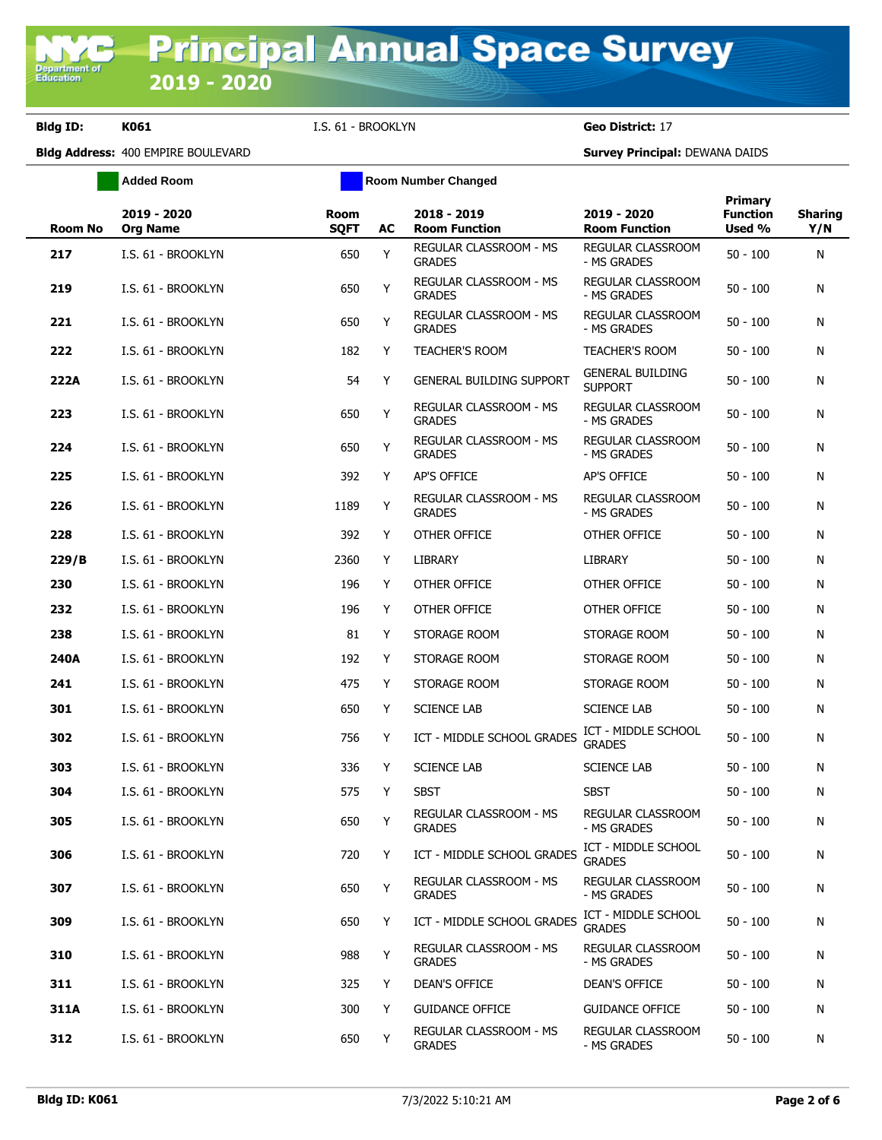**Added Room Room Room Number Changed** 

| Room No | 2019 - 2020<br><b>Org Name</b> | <b>Room</b><br><b>SQFT</b> | AC | 2018 - 2019<br><b>Room Function</b>            | 2019 - 2020<br><b>Room Function</b>       | <b>Primary</b><br><b>Function</b><br>Used % | <b>Sharing</b><br>Y/N |
|---------|--------------------------------|----------------------------|----|------------------------------------------------|-------------------------------------------|---------------------------------------------|-----------------------|
| 217     | I.S. 61 - BROOKLYN             | 650                        | Y  | REGULAR CLASSROOM - MS<br><b>GRADES</b>        | REGULAR CLASSROOM<br>- MS GRADES          | $50 - 100$                                  | N                     |
| 219     | I.S. 61 - BROOKLYN             | 650                        | Y  | REGULAR CLASSROOM - MS<br><b>GRADES</b>        | REGULAR CLASSROOM<br>- MS GRADES          | $50 - 100$                                  | N                     |
| 221     | I.S. 61 - BROOKLYN             | 650                        | Υ  | REGULAR CLASSROOM - MS<br><b>GRADES</b>        | REGULAR CLASSROOM<br>- MS GRADES          | $50 - 100$                                  | N                     |
| 222     | I.S. 61 - BROOKLYN             | 182                        | Y  | <b>TEACHER'S ROOM</b>                          | <b>TEACHER'S ROOM</b>                     | $50 - 100$                                  | N                     |
| 222A    | I.S. 61 - BROOKLYN             | 54                         | Y  | <b>GENERAL BUILDING SUPPORT</b>                | <b>GENERAL BUILDING</b><br><b>SUPPORT</b> | $50 - 100$                                  | N                     |
| 223     | I.S. 61 - BROOKLYN             | 650                        | Y  | REGULAR CLASSROOM - MS<br><b>GRADES</b>        | REGULAR CLASSROOM<br>- MS GRADES          | $50 - 100$                                  | N                     |
| 224     | I.S. 61 - BROOKLYN             | 650                        | Y  | REGULAR CLASSROOM - MS<br><b>GRADES</b>        | REGULAR CLASSROOM<br>- MS GRADES          | $50 - 100$                                  | N                     |
| 225     | I.S. 61 - BROOKLYN             | 392                        | Y  | AP'S OFFICE                                    | AP'S OFFICE                               | $50 - 100$                                  | N                     |
| 226     | I.S. 61 - BROOKLYN             | 1189                       | Y  | <b>REGULAR CLASSROOM - MS</b><br><b>GRADES</b> | REGULAR CLASSROOM<br>- MS GRADES          | $50 - 100$                                  | N                     |
| 228     | I.S. 61 - BROOKLYN             | 392                        | Y  | OTHER OFFICE                                   | OTHER OFFICE                              | $50 - 100$                                  | N                     |
| 229/B   | I.S. 61 - BROOKLYN             | 2360                       | Y  | LIBRARY                                        | <b>LIBRARY</b>                            | $50 - 100$                                  | N                     |
| 230     | I.S. 61 - BROOKLYN             | 196                        | Y  | OTHER OFFICE                                   | OTHER OFFICE                              | $50 - 100$                                  | N                     |
| 232     | I.S. 61 - BROOKLYN             | 196                        | Y  | OTHER OFFICE                                   | OTHER OFFICE                              | $50 - 100$                                  | N                     |
| 238     | I.S. 61 - BROOKLYN             | 81                         | Y  | STORAGE ROOM                                   | STORAGE ROOM                              | $50 - 100$                                  | N                     |
| 240A    | I.S. 61 - BROOKLYN             | 192                        | Y  | STORAGE ROOM                                   | STORAGE ROOM                              | $50 - 100$                                  | N                     |
| 241     | I.S. 61 - BROOKLYN             | 475                        | Y  | STORAGE ROOM                                   | STORAGE ROOM                              | $50 - 100$                                  | N                     |
| 301     | I.S. 61 - BROOKLYN             | 650                        | Y  | <b>SCIENCE LAB</b>                             | <b>SCIENCE LAB</b>                        | $50 - 100$                                  | N                     |
| 302     | I.S. 61 - BROOKLYN             | 756                        | Y  | ICT - MIDDLE SCHOOL GRADES                     | ICT - MIDDLE SCHOOL<br><b>GRADES</b>      | $50 - 100$                                  | N                     |
| 303     | I.S. 61 - BROOKLYN             | 336                        | Y  | <b>SCIENCE LAB</b>                             | <b>SCIENCE LAB</b>                        | $50 - 100$                                  | N                     |
| 304     | I.S. 61 - BROOKLYN             | 575                        | Y  | <b>SBST</b>                                    | <b>SBST</b>                               | $50 - 100$                                  | N                     |
| 305     | I.S. 61 - BROOKLYN             | 650                        | Y  | <b>REGULAR CLASSROOM - MS</b><br><b>GRADES</b> | REGULAR CLASSROOM<br>- MS GRADES          | $50 - 100$                                  | N                     |
| 306     | I.S. 61 - BROOKLYN             | 720                        | Y  | ICT - MIDDLE SCHOOL GRADES                     | ICT - MIDDLE SCHOOL<br><b>GRADES</b>      | $50 - 100$                                  | N                     |
| 307     | I.S. 61 - BROOKLYN             | 650                        | Υ  | REGULAR CLASSROOM - MS<br><b>GRADES</b>        | REGULAR CLASSROOM<br>- MS GRADES          | $50 - 100$                                  | N                     |
| 309     | I.S. 61 - BROOKLYN             | 650                        | Y  | ICT - MIDDLE SCHOOL GRADES                     | ICT - MIDDLE SCHOOL<br><b>GRADES</b>      | $50 - 100$                                  | N                     |
| 310     | I.S. 61 - BROOKLYN             | 988                        | Y  | REGULAR CLASSROOM - MS<br><b>GRADES</b>        | REGULAR CLASSROOM<br>- MS GRADES          | $50 - 100$                                  | N                     |
| 311     | I.S. 61 - BROOKLYN             | 325                        | Y  | DEAN'S OFFICE                                  | <b>DEAN'S OFFICE</b>                      | $50 - 100$                                  | N                     |
| 311A    | I.S. 61 - BROOKLYN             | 300                        | Y  | <b>GUIDANCE OFFICE</b>                         | <b>GUIDANCE OFFICE</b>                    | $50 - 100$                                  | N                     |
| 312     | I.S. 61 - BROOKLYN             | 650                        | Y  | REGULAR CLASSROOM - MS<br><b>GRADES</b>        | REGULAR CLASSROOM<br>- MS GRADES          | $50 - 100$                                  | N                     |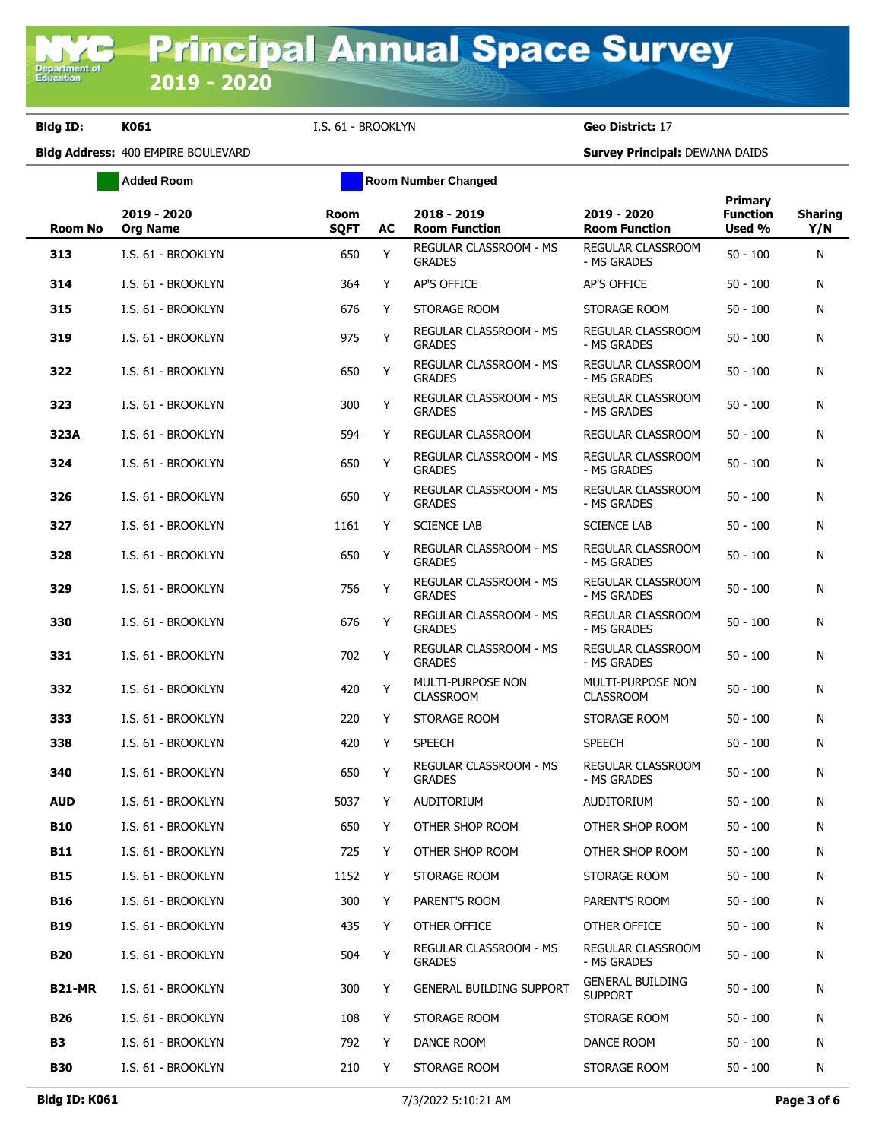**Added Room Room Room Number Changed** 

| <b>Room No</b> | 2019 - 2020<br><b>Org Name</b> | <b>Room</b><br><b>SQFT</b> | AC | 2018 - 2019<br><b>Room Function</b>            | 2019 - 2020<br><b>Room Function</b>       | Primary<br><b>Function</b><br>Used % | <b>Sharing</b><br>Y/N |
|----------------|--------------------------------|----------------------------|----|------------------------------------------------|-------------------------------------------|--------------------------------------|-----------------------|
| 313            | I.S. 61 - BROOKLYN             | 650                        | Y  | <b>REGULAR CLASSROOM - MS</b><br><b>GRADES</b> | <b>REGULAR CLASSROOM</b><br>- MS GRADES   | $50 - 100$                           | N                     |
| 314            | I.S. 61 - BROOKLYN             | 364                        | Y  | <b>AP'S OFFICE</b>                             | AP'S OFFICE                               | $50 - 100$                           | N                     |
| 315            | I.S. 61 - BROOKLYN             | 676                        | Y  | STORAGE ROOM                                   | STORAGE ROOM                              | $50 - 100$                           | N                     |
| 319            | I.S. 61 - BROOKLYN             | 975                        | Υ  | REGULAR CLASSROOM - MS<br><b>GRADES</b>        | REGULAR CLASSROOM<br>- MS GRADES          | $50 - 100$                           | N                     |
| 322            | I.S. 61 - BROOKLYN             | 650                        | Y  | REGULAR CLASSROOM - MS<br><b>GRADES</b>        | REGULAR CLASSROOM<br>- MS GRADES          | $50 - 100$                           | N                     |
| 323            | I.S. 61 - BROOKLYN             | 300                        | Y  | REGULAR CLASSROOM - MS<br><b>GRADES</b>        | REGULAR CLASSROOM<br>- MS GRADES          | $50 - 100$                           | N                     |
| 323A           | I.S. 61 - BROOKLYN             | 594                        | Y  | REGULAR CLASSROOM                              | REGULAR CLASSROOM                         | $50 - 100$                           | N                     |
| 324            | I.S. 61 - BROOKLYN             | 650                        | Υ  | REGULAR CLASSROOM - MS<br><b>GRADES</b>        | REGULAR CLASSROOM<br>- MS GRADES          | $50 - 100$                           | N                     |
| 326            | I.S. 61 - BROOKLYN             | 650                        | Υ  | REGULAR CLASSROOM - MS<br><b>GRADES</b>        | <b>REGULAR CLASSROOM</b><br>- MS GRADES   | $50 - 100$                           | N                     |
| 327            | I.S. 61 - BROOKLYN             | 1161                       | Y  | <b>SCIENCE LAB</b>                             | <b>SCIENCE LAB</b>                        | $50 - 100$                           | N                     |
| 328            | I.S. 61 - BROOKLYN             | 650                        | Υ  | REGULAR CLASSROOM - MS<br><b>GRADES</b>        | REGULAR CLASSROOM<br>- MS GRADES          | $50 - 100$                           | N                     |
| 329            | I.S. 61 - BROOKLYN             | 756                        | Y  | REGULAR CLASSROOM - MS<br><b>GRADES</b>        | REGULAR CLASSROOM<br>- MS GRADES          | $50 - 100$                           | N                     |
| 330            | I.S. 61 - BROOKLYN             | 676                        | Υ  | REGULAR CLASSROOM - MS<br><b>GRADES</b>        | REGULAR CLASSROOM<br>- MS GRADES          | $50 - 100$                           | N                     |
| 331            | I.S. 61 - BROOKLYN             | 702                        | Y  | REGULAR CLASSROOM - MS<br><b>GRADES</b>        | REGULAR CLASSROOM<br>- MS GRADES          | $50 - 100$                           | N                     |
| 332            | I.S. 61 - BROOKLYN             | 420                        | Υ  | MULTI-PURPOSE NON<br><b>CLASSROOM</b>          | MULTI-PURPOSE NON<br><b>CLASSROOM</b>     | $50 - 100$                           | N                     |
| 333            | I.S. 61 - BROOKLYN             | 220                        | Y  | STORAGE ROOM                                   | STORAGE ROOM                              | $50 - 100$                           | N                     |
| 338            | I.S. 61 - BROOKLYN             | 420                        | Y  | <b>SPEECH</b>                                  | <b>SPEECH</b>                             | $50 - 100$                           | N                     |
| 340            | I.S. 61 - BROOKLYN             | 650                        | Υ  | REGULAR CLASSROOM - MS<br><b>GRADES</b>        | REGULAR CLASSROOM<br>- MS GRADES          | $50 - 100$                           | N                     |
| <b>AUD</b>     | I.S. 61 - BROOKLYN             | 5037                       | Y  | AUDITORIUM                                     | <b>AUDITORIUM</b>                         | $50 - 100$                           | N                     |
| <b>B10</b>     | I.S. 61 - BROOKLYN             | 650                        | Y  | OTHER SHOP ROOM                                | OTHER SHOP ROOM                           | $50 - 100$                           | N                     |
| <b>B11</b>     | I.S. 61 - BROOKLYN             | 725                        | Y  | OTHER SHOP ROOM                                | OTHER SHOP ROOM                           | $50 - 100$                           | N                     |
| <b>B15</b>     | I.S. 61 - BROOKLYN             | 1152                       | Y  | STORAGE ROOM                                   | STORAGE ROOM                              | $50 - 100$                           | N                     |
| <b>B16</b>     | I.S. 61 - BROOKLYN             | 300                        | Y  | PARENT'S ROOM                                  | PARENT'S ROOM                             | $50 - 100$                           | N                     |
| <b>B19</b>     | I.S. 61 - BROOKLYN             | 435                        | Y  | OTHER OFFICE                                   | OTHER OFFICE                              | $50 - 100$                           | N                     |
| <b>B20</b>     | I.S. 61 - BROOKLYN             | 504                        | Υ  | REGULAR CLASSROOM - MS<br><b>GRADES</b>        | REGULAR CLASSROOM<br>- MS GRADES          | $50 - 100$                           | N                     |
| <b>B21-MR</b>  | I.S. 61 - BROOKLYN             | 300                        | Υ  | <b>GENERAL BUILDING SUPPORT</b>                | <b>GENERAL BUILDING</b><br><b>SUPPORT</b> | $50 - 100$                           | N                     |
| B26            | I.S. 61 - BROOKLYN             | 108                        | Y  | STORAGE ROOM                                   | STORAGE ROOM                              | $50 - 100$                           | N                     |
| <b>B3</b>      | I.S. 61 - BROOKLYN             | 792                        | Y  | DANCE ROOM                                     | DANCE ROOM                                | $50 - 100$                           | N                     |
| <b>B30</b>     | I.S. 61 - BROOKLYN             | 210                        | Y  | STORAGE ROOM                                   | STORAGE ROOM                              | $50 - 100$                           | N                     |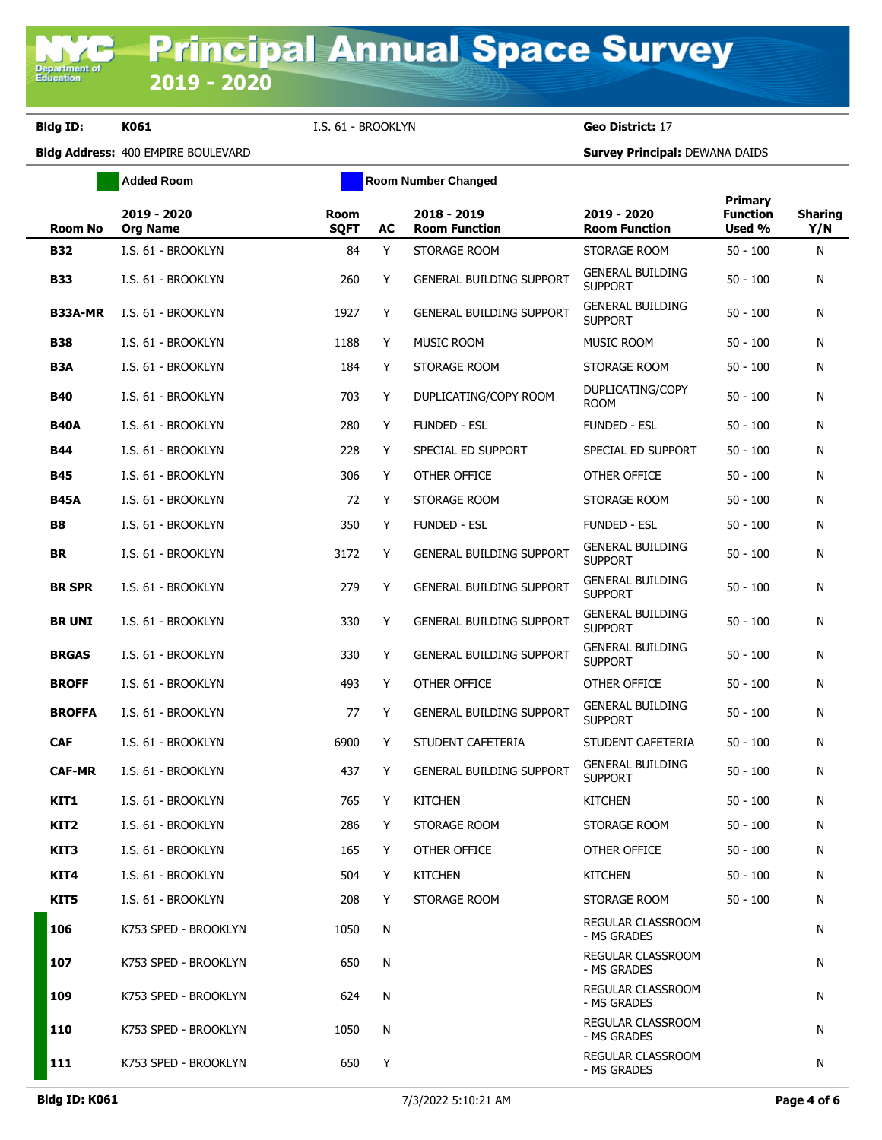**Added Room Room Room Number Changed** 

| Room No          | 2019 - 2020<br><b>Org Name</b> | <b>Room</b><br><b>SQFT</b> | AC | 2018 - 2019<br><b>Room Function</b> | 2019 - 2020<br><b>Room Function</b>       | Primary<br><b>Function</b><br>Used % | <b>Sharing</b><br>Y/N |
|------------------|--------------------------------|----------------------------|----|-------------------------------------|-------------------------------------------|--------------------------------------|-----------------------|
| <b>B32</b>       | I.S. 61 - BROOKLYN             | 84                         | Y  | STORAGE ROOM                        | STORAGE ROOM                              | $50 - 100$                           | N                     |
| <b>B33</b>       | I.S. 61 - BROOKLYN             | 260                        | Y  | <b>GENERAL BUILDING SUPPORT</b>     | <b>GENERAL BUILDING</b><br><b>SUPPORT</b> | $50 - 100$                           | N                     |
| <b>B33A-MR</b>   | I.S. 61 - BROOKLYN             | 1927                       | Y  | <b>GENERAL BUILDING SUPPORT</b>     | <b>GENERAL BUILDING</b><br><b>SUPPORT</b> | $50 - 100$                           | N                     |
| <b>B38</b>       | I.S. 61 - BROOKLYN             | 1188                       | Y  | <b>MUSIC ROOM</b>                   | <b>MUSIC ROOM</b>                         | $50 - 100$                           | N                     |
| B <sub>3</sub> A | I.S. 61 - BROOKLYN             | 184                        | Y  | STORAGE ROOM                        | STORAGE ROOM                              | $50 - 100$                           | N                     |
| <b>B40</b>       | I.S. 61 - BROOKLYN             | 703                        | Y  | DUPLICATING/COPY ROOM               | DUPLICATING/COPY<br>room                  | $50 - 100$                           | N                     |
| <b>B40A</b>      | I.S. 61 - BROOKLYN             | 280                        | Y  | <b>FUNDED - ESL</b>                 | FUNDED - ESL                              | $50 - 100$                           | N                     |
| <b>B44</b>       | I.S. 61 - BROOKLYN             | 228                        | Y  | SPECIAL ED SUPPORT                  | SPECIAL ED SUPPORT                        | $50 - 100$                           | N                     |
| <b>B45</b>       | I.S. 61 - BROOKLYN             | 306                        | Y  | OTHER OFFICE                        | OTHER OFFICE                              | $50 - 100$                           | N                     |
| <b>B45A</b>      | I.S. 61 - BROOKLYN             | 72                         | Y  | STORAGE ROOM                        | STORAGE ROOM                              | $50 - 100$                           | N                     |
| <b>B8</b>        | I.S. 61 - BROOKLYN             | 350                        | Y  | <b>FUNDED - ESL</b>                 | FUNDED - ESL                              | $50 - 100$                           | N                     |
| <b>BR</b>        | I.S. 61 - BROOKLYN             | 3172                       | Y  | <b>GENERAL BUILDING SUPPORT</b>     | <b>GENERAL BUILDING</b><br><b>SUPPORT</b> | $50 - 100$                           | N                     |
| <b>BR SPR</b>    | I.S. 61 - BROOKLYN             | 279                        | Y  | <b>GENERAL BUILDING SUPPORT</b>     | <b>GENERAL BUILDING</b><br><b>SUPPORT</b> | $50 - 100$                           | N                     |
| <b>BR UNI</b>    | I.S. 61 - BROOKLYN             | 330                        | Y  | <b>GENERAL BUILDING SUPPORT</b>     | <b>GENERAL BUILDING</b><br><b>SUPPORT</b> | $50 - 100$                           | N                     |
| <b>BRGAS</b>     | I.S. 61 - BROOKLYN             | 330                        | Y  | <b>GENERAL BUILDING SUPPORT</b>     | <b>GENERAL BUILDING</b><br><b>SUPPORT</b> | $50 - 100$                           | N                     |
| <b>BROFF</b>     | I.S. 61 - BROOKLYN             | 493                        | Y  | OTHER OFFICE                        | OTHER OFFICE                              | $50 - 100$                           | N                     |
| <b>BROFFA</b>    | I.S. 61 - BROOKLYN             | 77                         | Y  | <b>GENERAL BUILDING SUPPORT</b>     | <b>GENERAL BUILDING</b><br><b>SUPPORT</b> | $50 - 100$                           | N                     |
| <b>CAF</b>       | I.S. 61 - BROOKLYN             | 6900                       | Y  | STUDENT CAFETERIA                   | STUDENT CAFETERIA                         | $50 - 100$                           | N                     |
| <b>CAF-MR</b>    | I.S. 61 - BROOKLYN             | 437                        | Y  | <b>GENERAL BUILDING SUPPORT</b>     | <b>GENERAL BUILDING</b><br><b>SUPPORT</b> | $50 - 100$                           | N                     |
| KIT1             | I.S. 61 - BROOKLYN             | 765                        | Y  | <b>KITCHEN</b>                      | <b>KITCHEN</b>                            | $50 - 100$                           | N                     |
| KIT2             | I.S. 61 - BROOKLYN             | 286                        | Y  | STORAGE ROOM                        | STORAGE ROOM                              | $50 - 100$                           | N                     |
| KIT3             | I.S. 61 - BROOKLYN             | 165                        | Y  | OTHER OFFICE                        | OTHER OFFICE                              | $50 - 100$                           | N                     |
| KIT4             | I.S. 61 - BROOKLYN             | 504                        | Y  | <b>KITCHEN</b>                      | <b>KITCHEN</b>                            | $50 - 100$                           | N                     |
| KIT5             | I.S. 61 - BROOKLYN             | 208                        | Y  | STORAGE ROOM                        | STORAGE ROOM                              | $50 - 100$                           | N                     |
| 106              | K753 SPED - BROOKLYN           | 1050                       | N  |                                     | REGULAR CLASSROOM<br>- MS GRADES          |                                      | N                     |
| 107              | K753 SPED - BROOKLYN           | 650                        | N  |                                     | <b>REGULAR CLASSROOM</b><br>- MS GRADES   |                                      | N                     |
| 109              | K753 SPED - BROOKLYN           | 624                        | N  |                                     | REGULAR CLASSROOM<br>- MS GRADES          |                                      | N                     |
| 110              | K753 SPED - BROOKLYN           | 1050                       | N  |                                     | REGULAR CLASSROOM<br>- MS GRADES          |                                      | N                     |
| 111              | K753 SPED - BROOKLYN           | 650                        | Y  |                                     | REGULAR CLASSROOM<br>- MS GRADES          |                                      | N                     |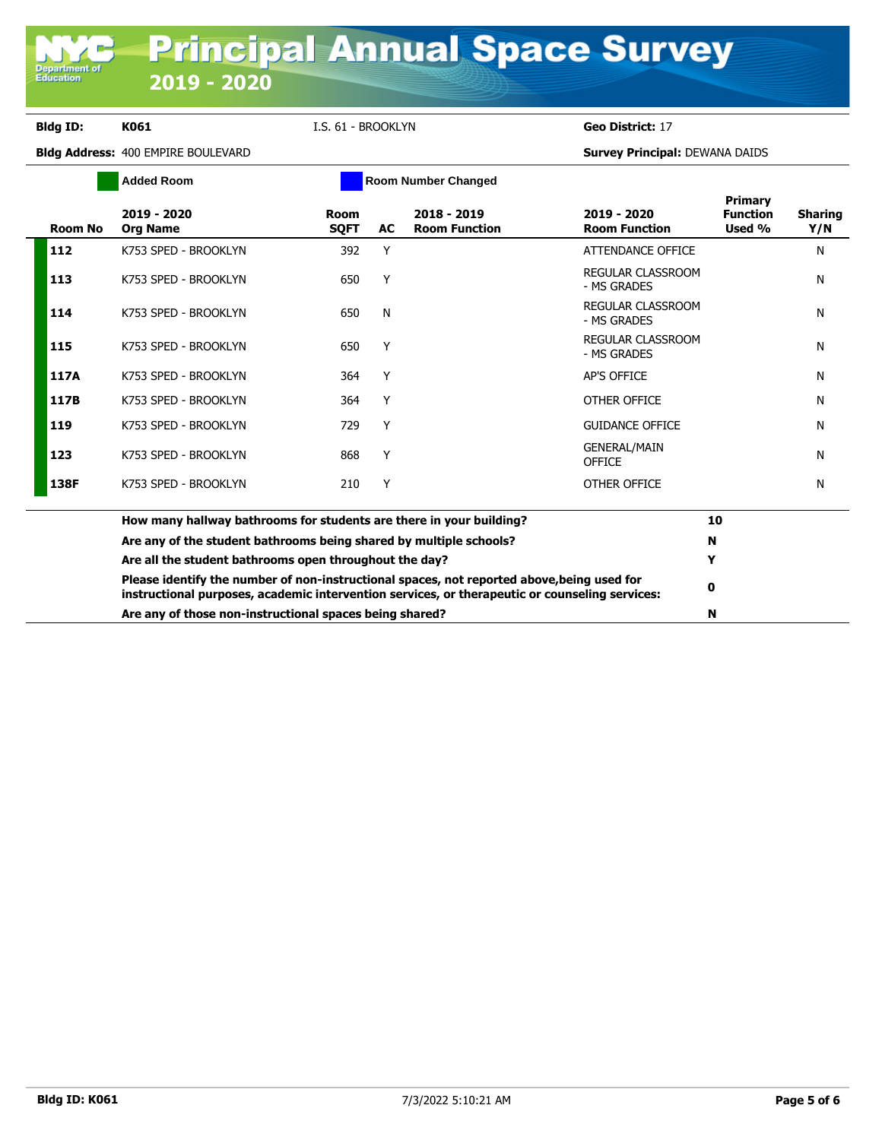**Department of**<br>Education

**Bldg ID: K061** I.S. 61 - BROOKLYN **Geo District:** 17

|                | <b>Added Room</b>                                                                                                                                                                            |                            |    | <b>Room Number Changed</b>          |                                      |                                      |                       |
|----------------|----------------------------------------------------------------------------------------------------------------------------------------------------------------------------------------------|----------------------------|----|-------------------------------------|--------------------------------------|--------------------------------------|-----------------------|
| <b>Room No</b> | 2019 - 2020<br><b>Org Name</b>                                                                                                                                                               | <b>Room</b><br><b>SOFT</b> | AC | 2018 - 2019<br><b>Room Function</b> | 2019 - 2020<br><b>Room Function</b>  | Primary<br><b>Function</b><br>Used % | <b>Sharing</b><br>Y/N |
| 112            | K753 SPED - BROOKLYN                                                                                                                                                                         | 392                        | Y  |                                     | ATTENDANCE OFFICE                    |                                      | N                     |
| 113            | K753 SPED - BROOKLYN                                                                                                                                                                         | 650                        | Y  |                                     | REGULAR CLASSROOM<br>- MS GRADES     |                                      | N                     |
| 114            | K753 SPED - BROOKLYN                                                                                                                                                                         | 650                        | N  |                                     | REGULAR CLASSROOM<br>- MS GRADES     |                                      | N                     |
| 115            | K753 SPED - BROOKLYN                                                                                                                                                                         | 650                        | Y  |                                     | REGULAR CLASSROOM<br>- MS GRADES     |                                      | N                     |
| 117A           | K753 SPED - BROOKLYN                                                                                                                                                                         | 364                        | Y  |                                     | <b>AP'S OFFICE</b>                   |                                      | N                     |
| 117B           | K753 SPED - BROOKLYN                                                                                                                                                                         | 364                        | Υ  |                                     | OTHER OFFICE                         |                                      | N                     |
| 119            | K753 SPED - BROOKLYN                                                                                                                                                                         | 729                        | Y  |                                     | <b>GUIDANCE OFFICE</b>               |                                      | N                     |
| 123            | K753 SPED - BROOKLYN                                                                                                                                                                         | 868                        | Y  |                                     | <b>GENERAL/MAIN</b><br><b>OFFICE</b> |                                      | N                     |
| 138F           | K753 SPED - BROOKLYN                                                                                                                                                                         | 210                        | Y  |                                     | OTHER OFFICE                         |                                      | N                     |
|                | How many hallway bathrooms for students are there in your building?                                                                                                                          |                            |    |                                     |                                      | 10                                   |                       |
|                | Are any of the student bathrooms being shared by multiple schools?                                                                                                                           |                            |    |                                     | N                                    |                                      |                       |
|                | Are all the student bathrooms open throughout the day?                                                                                                                                       | Y                          |    |                                     |                                      |                                      |                       |
|                | Please identify the number of non-instructional spaces, not reported above, being used for<br>instructional purposes, academic intervention services, or therapeutic or counseling services: |                            |    |                                     | 0                                    |                                      |                       |
|                | Are any of those non-instructional spaces being shared?                                                                                                                                      | N                          |    |                                     |                                      |                                      |                       |